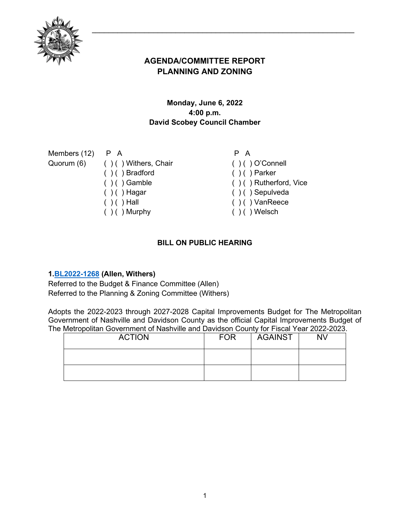

# **AGENDA/COMMITTEE REPORT PLANNING AND ZONING**

## **Monday, June 6, 2022 4:00 p.m. David Scobey Council Chamber**

| Members $(12)$ P A |                                 | P A                        |
|--------------------|---------------------------------|----------------------------|
|                    | Quorum (6) () () Withers, Chair | $( ) ( )$ O'Connell        |
|                    | $( ) ( )$ Bradford              | $( ) ( )$ Parker           |
|                    | $( ) ( )$ Gamble                | $( )$ ( ) Rutherford, Vice |
|                    | $( ) ( )$ Hagar                 | $( ) ( )$ Sepulveda        |
|                    | $( ) ( )$ Hall                  | $( ) ( )$ VanReece         |
|                    | $( ) ( )$ Murphy                | $( ) ( )$ Welsch           |
|                    |                                 |                            |

## **BILL ON PUBLIC HEARING**

### **1[.BL2022-1268](http://nashville.legistar.com/gateway.aspx?m=l&id=/matter.aspx?key=14516) (Allen, Withers)**

Referred to the Budget & Finance Committee (Allen) Referred to the Planning & Zoning Committee (Withers)

Adopts the 2022-2023 through 2027-2028 Capital Improvements Budget for The Metropolitan Government of Nashville and Davidson County as the official Capital Improvements Budget of The Metropolitan Government of Nashville and Davidson County for Fiscal Year 2022-2023.

| <b>ACTION</b> | <b>FOR</b> | <b>AGAINST</b> | <b>NV</b> |
|---------------|------------|----------------|-----------|
|               |            |                |           |
|               |            |                |           |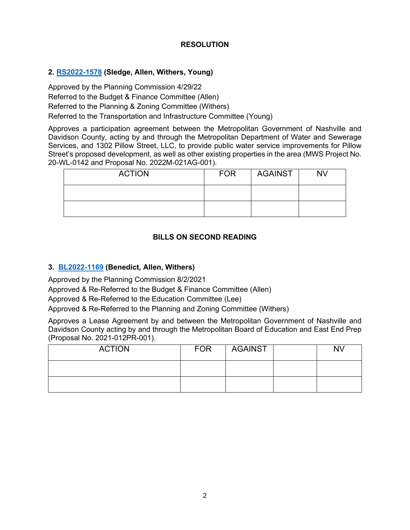#### **RESOLUTION**

#### **2. [RS2022-1578](http://nashville.legistar.com/gateway.aspx?m=l&id=/matter.aspx?key=14598) (Sledge, Allen, Withers, Young)**

Approved by the Planning Commission 4/29/22 Referred to the Budget & Finance Committee (Allen) Referred to the Planning & Zoning Committee (Withers) Referred to the Transportation and Infrastructure Committee (Young)

Approves a participation agreement between the Metropolitan Government of Nashville and Davidson County, acting by and through the Metropolitan Department of Water and Sewerage Services, and 1302 Pillow Street, LLC, to provide public water service improvements for Pillow Street's proposed development, as well as other existing properties in the area (MWS Project No. 20-WL-0142 and Proposal No. 2022M-021AG-001).

| <b>ACTION</b> | <b>FOR</b> | AGAINST | <b>NV</b> |
|---------------|------------|---------|-----------|
|               |            |         |           |
|               |            |         |           |

### **BILLS ON SECOND READING**

#### **3. [BL2022-1169](http://nashville.legistar.com/gateway.aspx?m=l&id=/matter.aspx?key=14261) (Benedict, Allen, Withers)**

Approved by the Planning Commission 8/2/2021

Approved & Re-Referred to the Budget & Finance Committee (Allen)

Approved & Re-Referred to the Education Committee (Lee)

Approved & Re-Referred to the Planning and Zoning Committee (Withers)

Approves a Lease Agreement by and between the Metropolitan Government of Nashville and Davidson County acting by and through the Metropolitan Board of Education and East End Prep (Proposal No. 2021-012PR-001).

| <b>ACTION</b> | <b>FOR</b> | <b>AGAINST</b> | N٧ |
|---------------|------------|----------------|----|
|               |            |                |    |
|               |            |                |    |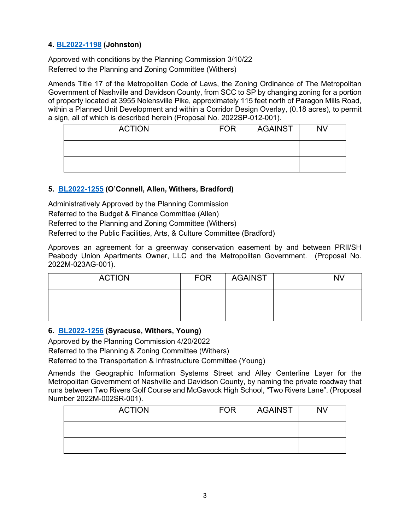### **4. [BL2022-1198](http://nashville.legistar.com/gateway.aspx?m=l&id=/matter.aspx?key=14310) (Johnston)**

Approved with conditions by the Planning Commission 3/10/22 Referred to the Planning and Zoning Committee (Withers)

Amends Title 17 of the Metropolitan Code of Laws, the Zoning Ordinance of The Metropolitan Government of Nashville and Davidson County, from SCC to SP by changing zoning for a portion of property located at 3955 Nolensville Pike, approximately 115 feet north of Paragon Mills Road, within a Planned Unit Development and within a Corridor Design Overlay, (0.18 acres), to permit a sign, all of which is described herein (Proposal No. 2022SP-012-001).

| <b>ACTION</b> | <b>FOR</b> | AGAINST | <b>NV</b> |
|---------------|------------|---------|-----------|
|               |            |         |           |
|               |            |         |           |

## **5. [BL2022-1255](http://nashville.legistar.com/gateway.aspx?m=l&id=/matter.aspx?key=14461) (O'Connell, Allen, Withers, Bradford)**

Administratively Approved by the Planning Commission Referred to the Budget & Finance Committee (Allen) Referred to the Planning and Zoning Committee (Withers) Referred to the Public Facilities, Arts, & Culture Committee (Bradford)

Approves an agreement for a greenway conservation easement by and between PRII/SH Peabody Union Apartments Owner, LLC and the Metropolitan Government. (Proposal No. 2022M-023AG-001).

| <b>ACTION</b> | <b>FOR</b> | AGAINST | <b>NV</b> |
|---------------|------------|---------|-----------|
|               |            |         |           |
|               |            |         |           |

### **6. [BL2022-1256](http://nashville.legistar.com/gateway.aspx?m=l&id=/matter.aspx?key=14442) (Syracuse, Withers, Young)**

Approved by the Planning Commission 4/20/2022

Referred to the Planning & Zoning Committee (Withers)

Referred to the Transportation & Infrastructure Committee (Young)

Amends the Geographic Information Systems Street and Alley Centerline Layer for the Metropolitan Government of Nashville and Davidson County, by naming the private roadway that runs between Two Rivers Golf Course and McGavock High School, "Two Rivers Lane". (Proposal Number 2022M-002SR-001).

| <b>ACTION</b> | <b>FOR</b> | AGAINST | <b>NV</b> |
|---------------|------------|---------|-----------|
|               |            |         |           |
|               |            |         |           |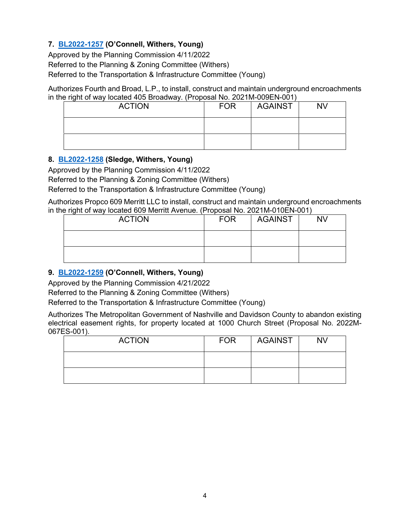## **7. [BL2022-1257](http://nashville.legistar.com/gateway.aspx?m=l&id=/matter.aspx?key=14464) (O'Connell, Withers, Young)**

Approved by the Planning Commission 4/11/2022

Referred to the Planning & Zoning Committee (Withers)

Referred to the Transportation & Infrastructure Committee (Young)

Authorizes Fourth and Broad, L.P., to install, construct and maintain underground encroachments in the right of way located 405 Broadway. (Proposal No. 2021M-009EN-001)

| <b>ACTION</b> | <b>FOR</b> | <b>AGAINST</b> | <b>NV</b> |
|---------------|------------|----------------|-----------|
|               |            |                |           |
|               |            |                |           |

### **8. [BL2022-1258](http://nashville.legistar.com/gateway.aspx?m=l&id=/matter.aspx?key=14465) (Sledge, Withers, Young)**

Approved by the Planning Commission 4/11/2022

Referred to the Planning & Zoning Committee (Withers)

Referred to the Transportation & Infrastructure Committee (Young)

Authorizes Propco 609 Merritt LLC to install, construct and maintain underground encroachments in the right of way located 609 Merritt Avenue. (Proposal No. 2021M-010EN-001)

| <b>ACTION</b> | <b>FOR</b> | <b>AGAINST</b> | <b>NV</b> |
|---------------|------------|----------------|-----------|
|               |            |                |           |
|               |            |                |           |

## **9. [BL2022-1259](http://nashville.legistar.com/gateway.aspx?m=l&id=/matter.aspx?key=14446) (O'Connell, Withers, Young)**

Approved by the Planning Commission 4/21/2022

Referred to the Planning & Zoning Committee (Withers)

Referred to the Transportation & Infrastructure Committee (Young)

Authorizes The Metropolitan Government of Nashville and Davidson County to abandon existing electrical easement rights, for property located at 1000 Church Street (Proposal No. 2022M-067ES-001).

| <b>ACTION</b> | <b>FOR</b> | AGAINST | <b>NV</b> |
|---------------|------------|---------|-----------|
|               |            |         |           |
|               |            |         |           |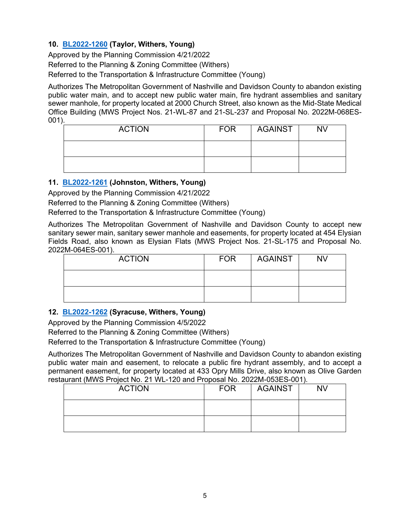### **10. [BL2022-1260](http://nashville.legistar.com/gateway.aspx?m=l&id=/matter.aspx?key=14469) (Taylor, Withers, Young)**

Approved by the Planning Commission 4/21/2022 Referred to the Planning & Zoning Committee (Withers) Referred to the Transportation & Infrastructure Committee (Young)

Authorizes The Metropolitan Government of Nashville and Davidson County to abandon existing public water main, and to accept new public water main, fire hydrant assemblies and sanitary sewer manhole, for property located at 2000 Church Street, also known as the Mid-State Medical Office Building (MWS Project Nos. 21-WL-87 and 21-SL-237 and Proposal No. 2022M-068ES-001).

| <b>ACTION</b> | <b>FOR</b> | <b>AGAINST</b> | <b>NV</b> |
|---------------|------------|----------------|-----------|
|               |            |                |           |
|               |            |                |           |

### **11. [BL2022-1261](http://nashville.legistar.com/gateway.aspx?m=l&id=/matter.aspx?key=14470) (Johnston, Withers, Young)**

Approved by the Planning Commission 4/21/2022

Referred to the Planning & Zoning Committee (Withers)

Referred to the Transportation & Infrastructure Committee (Young)

Authorizes The Metropolitan Government of Nashville and Davidson County to accept new sanitary sewer main, sanitary sewer manhole and easements, for property located at 454 Elysian Fields Road, also known as Elysian Flats (MWS Project Nos. 21-SL-175 and Proposal No. 2022M-064ES-001).

| <b>ACTION</b> | <b>FOR</b> | <b>AGAINST</b> | <b>NV</b> |
|---------------|------------|----------------|-----------|
|               |            |                |           |
|               |            |                |           |

### **12. [BL2022-1262](http://nashville.legistar.com/gateway.aspx?m=l&id=/matter.aspx?key=14471) (Syracuse, Withers, Young)**

Approved by the Planning Commission 4/5/2022

Referred to the Planning & Zoning Committee (Withers)

Referred to the Transportation & Infrastructure Committee (Young)

Authorizes The Metropolitan Government of Nashville and Davidson County to abandon existing public water main and easement, to relocate a public fire hydrant assembly, and to accept a permanent easement, for property located at 433 Opry Mills Drive, also known as Olive Garden restaurant (MWS Project No. 21 WL-120 and Proposal No. 2022M-053ES-001).

| <b>ACTION</b> | <b>FOR</b> | <b>AGAINST</b> | <b>NV</b> |
|---------------|------------|----------------|-----------|
|               |            |                |           |
|               |            |                |           |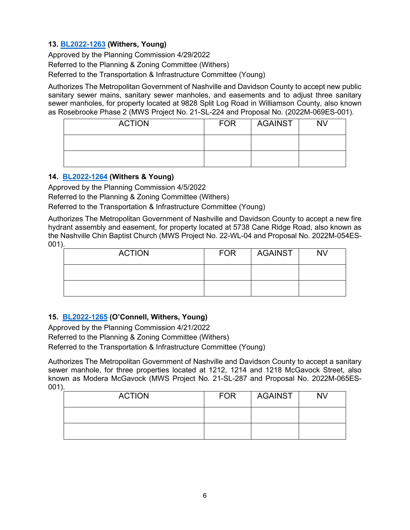### **13. [BL2022-1263](http://nashville.legistar.com/gateway.aspx?m=l&id=/matter.aspx?key=14472) (Withers, Young)**

Approved by the Planning Commission 4/29/2022 Referred to the Planning & Zoning Committee (Withers) Referred to the Transportation & Infrastructure Committee (Young)

Authorizes The Metropolitan Government of Nashville and Davidson County to accept new public sanitary sewer mains, sanitary sewer manholes, and easements and to adjust three sanitary sewer manholes, for property located at 9828 Split Log Road in Williamson County, also known as Rosebrooke Phase 2 (MWS Project No. 21-SL-224 and Proposal No. (2022M-069ES-001).

| <b>ACTION</b> | <b>FOR</b> | AGAINST | <b>NV</b> |
|---------------|------------|---------|-----------|
|               |            |         |           |
|               |            |         |           |

#### **14. [BL2022-1264](http://nashville.legistar.com/gateway.aspx?m=l&id=/matter.aspx?key=14473) (Withers & Young)**

Approved by the Planning Commission 4/5/2022

Referred to the Planning & Zoning Committee (Withers)

Referred to the Transportation & Infrastructure Committee (Young)

Authorizes The Metropolitan Government of Nashville and Davidson County to accept a new fire hydrant assembly and easement, for property located at 5738 Cane Ridge Road, also known as the Nashville Chin Baptist Church (MWS Project No. 22-WL-04 and Proposal No. 2022M-054ES-001).

| <b>ACTION</b> | <b>FOR</b> | AGAINST | <b>NV</b> |
|---------------|------------|---------|-----------|
|               |            |         |           |
|               |            |         |           |

### **15. [BL2022-1265](http://nashville.legistar.com/gateway.aspx?m=l&id=/matter.aspx?key=14474) (O'Connell, Withers, Young)**

Approved by the Planning Commission 4/21/2022 Referred to the Planning & Zoning Committee (Withers) Referred to the Transportation & Infrastructure Committee (Young)

Authorizes The Metropolitan Government of Nashville and Davidson County to accept a sanitary sewer manhole, for three properties located at 1212, 1214 and 1218 McGavock Street, also known as Modera McGavock (MWS Project No. 21-SL-287 and Proposal No. 2022M-065ES-001).

| <b>ACTION</b> | <b>FOR</b> | <b>AGAINST</b> | <b>NV</b> |
|---------------|------------|----------------|-----------|
|               |            |                |           |
|               |            |                |           |